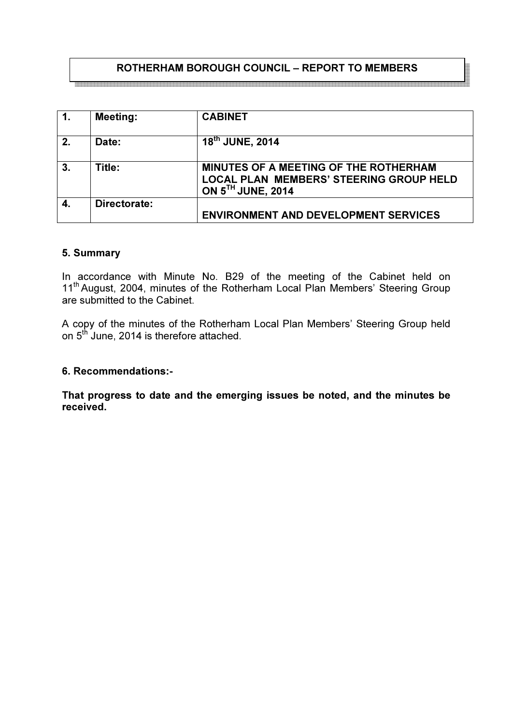# ROTHERHAM BOROUGH COUNCIL – REPORT TO MEMBERS

.<br>In the contract of the contract of the contract of the contract of the contract of the contract of the contract of the contract of the contract of the contract of the contract of the co

| $\overline{1}$ . | <b>Meeting:</b> | <b>CABINET</b>                                                                                               |
|------------------|-----------------|--------------------------------------------------------------------------------------------------------------|
| 2.               | Date:           | 18 <sup>th</sup> JUNE, 2014                                                                                  |
| 3.               | Title:          | MINUTES OF A MEETING OF THE ROTHERHAM<br><b>LOCAL PLAN MEMBERS' STEERING GROUP HELD</b><br>ON 5TH JUNE, 2014 |
|                  | Directorate:    | <b>ENVIRONMENT AND DEVELOPMENT SERVICES</b>                                                                  |

#### 5. Summary

In accordance with Minute No. B29 of the meeting of the Cabinet held on 11<sup>th</sup> August, 2004, minutes of the Rotherham Local Plan Members' Steering Group are submitted to the Cabinet.

A copy of the minutes of the Rotherham Local Plan Members' Steering Group held on 5<sup>th</sup> June, 2014 is therefore attached.

#### 6. Recommendations:-

That progress to date and the emerging issues be noted, and the minutes be received.